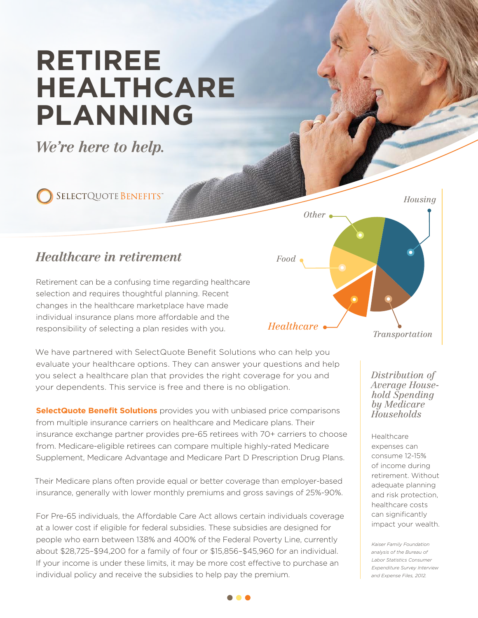## **RETIREE HEALTHCARE PLANNING**

*We're here to help.*

SELECTQUOTE BENEFITS®

## *Healthcare in retirement*

Retirement can be a confusing time regarding healthcare selection and requires thoughtful planning. Recent changes in the healthcare marketplace have made individual insurance plans more affordable and the responsibility of selecting a plan resides with you.

We have partnered with SelectQuote Benefit Solutions who can help you evaluate your healthcare options. They can answer your questions and help you select a healthcare plan that provides the right coverage for you and your dependents. This service is free and there is no obligation.

**SelectQuote Benefit Solutions** provides you with unbiased price comparisons from multiple insurance carriers on healthcare and Medicare plans. Their insurance exchange partner provides pre-65 retirees with 70+ carriers to choose from. Medicare-eligible retirees can compare multiple highly-rated Medicare Supplement, Medicare Advantage and Medicare Part D Prescription Drug Plans.

Their Medicare plans often provide equal or better coverage than employer-based insurance, generally with lower monthly premiums and gross savings of 25%-90%.

For Pre-65 individuals, the Affordable Care Act allows certain individuals coverage at a lower cost if eligible for federal subsidies. These subsidies are designed for people who earn between 138% and 400% of the Federal Poverty Line, currently about \$28,725–\$94,200 for a family of four or \$15,856–\$45,960 for an individual. If your income is under these limits, it may be more cost effective to purchase an individual policy and receive the subsidies to help pay the premium.

*Healthcare Food Other Housing Transportation*

> *Distribution of Average Household Spending by Medicare Households*

Healthcare expenses can consume 12-15% of income during retirement. Without adequate planning and risk protection, healthcare costs can significantly impact your wealth.

*Kaiser Family Foundation analysis of the Bureau of Labor Statistics Consumer Expenditure Survey Interview and Expense Files, 2012.*